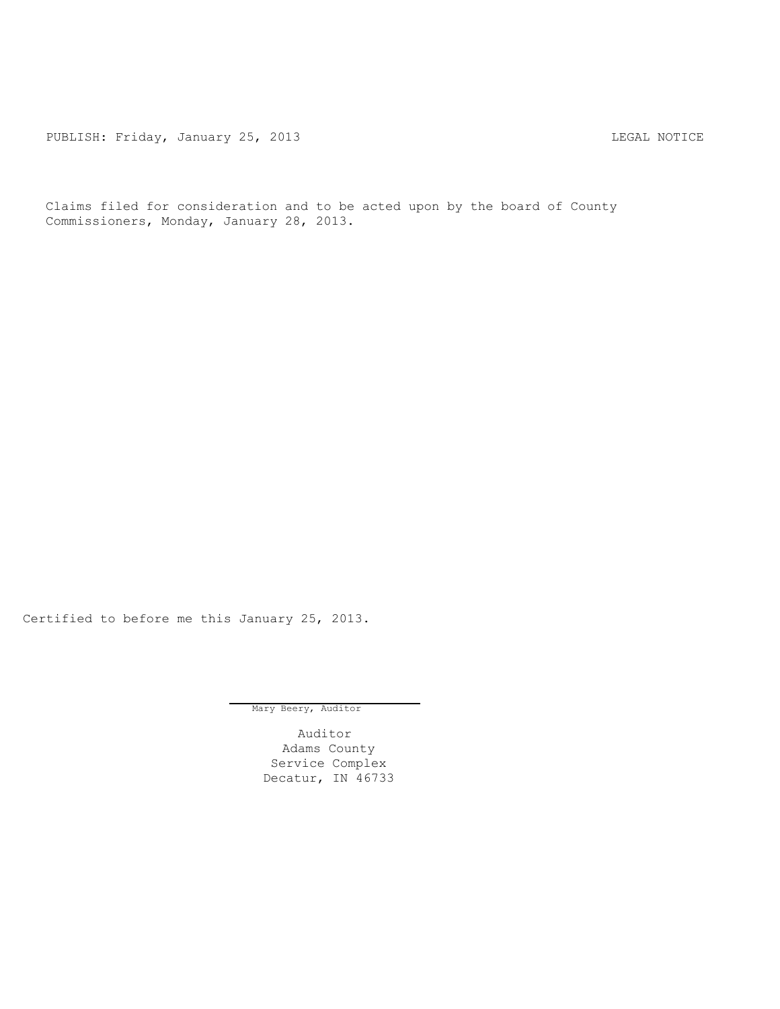PUBLISH: Friday, January 25, 2013 CHA CHANGE AND THE SAL NOTICE

Claims filed for consideration and to be acted upon by the board of County Commissioners, Monday, January 28, 2013.

Certified to before me this January 25, 2013.

Mary Beery, Auditor

Auditor Adams County Service Complex Decatur, IN 46733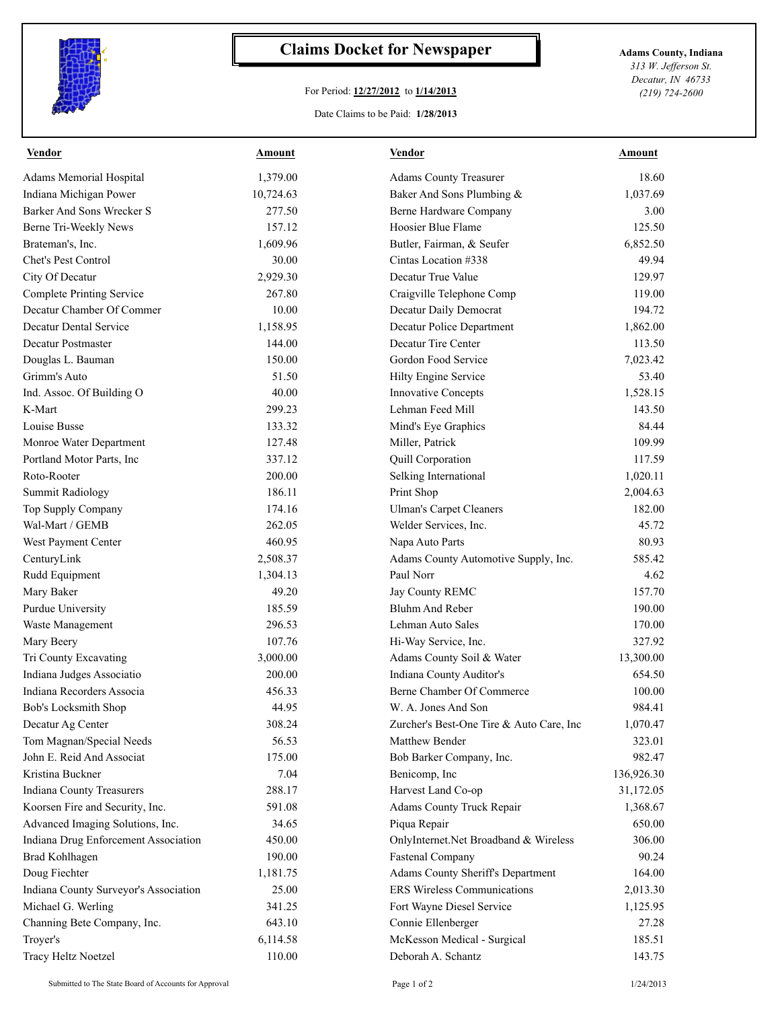

## **Claims Docket for Newspaper Adams County, Indiana**

## For Period: **12/27/2012** to **1/14/2013**

*313 W. Jefferson St. Decatur, IN 46733 (219) 724-2600*

## Date Claims to be Paid: **1/28/2013**

| <b>Vendor</b>                         | <b>Amount</b> | <b>Vendor</b>                            | <b>Amount</b> |
|---------------------------------------|---------------|------------------------------------------|---------------|
| Adams Memorial Hospital               | 1,379.00      | <b>Adams County Treasurer</b>            | 18.60         |
| Indiana Michigan Power                | 10,724.63     | Baker And Sons Plumbing &                | 1,037.69      |
| <b>Barker And Sons Wrecker S</b>      | 277.50        | Berne Hardware Company                   | 3.00          |
| Berne Tri-Weekly News                 | 157.12        | Hoosier Blue Flame                       | 125.50        |
| Brateman's, Inc.                      | 1,609.96      | Butler, Fairman, & Seufer                | 6,852.50      |
| <b>Chet's Pest Control</b>            | 30.00         | Cintas Location #338                     | 49.94         |
| City Of Decatur                       | 2,929.30      | Decatur True Value                       | 129.97        |
| <b>Complete Printing Service</b>      | 267.80        | Craigville Telephone Comp                | 119.00        |
| Decatur Chamber Of Commer             | 10.00         | Decatur Daily Democrat                   | 194.72        |
| Decatur Dental Service                | 1,158.95      | Decatur Police Department                | 1,862.00      |
| Decatur Postmaster                    | 144.00        | Decatur Tire Center                      | 113.50        |
| Douglas L. Bauman                     | 150.00        | Gordon Food Service                      | 7,023.42      |
| Grimm's Auto                          | 51.50         | Hilty Engine Service                     | 53.40         |
| Ind. Assoc. Of Building O             | 40.00         | <b>Innovative Concepts</b>               | 1,528.15      |
| K-Mart                                | 299.23        | Lehman Feed Mill                         | 143.50        |
| Louise Busse                          | 133.32        | Mind's Eye Graphics                      | 84.44         |
| Monroe Water Department               | 127.48        | Miller, Patrick                          | 109.99        |
| Portland Motor Parts, Inc.            | 337.12        | Quill Corporation                        | 117.59        |
| Roto-Rooter                           | 200.00        | Selking International                    | 1,020.11      |
| <b>Summit Radiology</b>               | 186.11        | Print Shop                               | 2,004.63      |
| Top Supply Company                    | 174.16        | <b>Ulman's Carpet Cleaners</b>           | 182.00        |
| Wal-Mart / GEMB                       | 262.05        | Welder Services, Inc.                    | 45.72         |
| West Payment Center                   | 460.95        | Napa Auto Parts                          | 80.93         |
| CenturyLink                           | 2,508.37      | Adams County Automotive Supply, Inc.     | 585.42        |
| Rudd Equipment                        | 1,304.13      | Paul Norr                                | 4.62          |
| Mary Baker                            | 49.20         | Jay County REMC                          | 157.70        |
| Purdue University                     | 185.59        | <b>Bluhm And Reber</b>                   | 190.00        |
| Waste Management                      | 296.53        | Lehman Auto Sales                        | 170.00        |
| Mary Beery                            | 107.76        | Hi-Way Service, Inc.                     | 327.92        |
| Tri County Excavating                 | 3,000.00      | Adams County Soil & Water                | 13,300.00     |
| Indiana Judges Associatio             | 200.00        | Indiana County Auditor's                 | 654.50        |
| Indiana Recorders Associa             | 456.33        | Berne Chamber Of Commerce                | 100.00        |
| Bob's Locksmith Shop                  | 44.95         | W. A. Jones And Son                      | 984.41        |
| Decatur Ag Center                     | 308.24        | Zurcher's Best-One Tire & Auto Care, Inc | 1,070.47      |
| Tom Magnan/Special Needs              | 56.53         | Matthew Bender                           | 323.01        |
| John E. Reid And Associat             | 175.00        | Bob Barker Company, Inc.                 | 982.47        |
| Kristina Buckner                      | 7.04          | Benicomp, Inc                            | 136,926.30    |
| <b>Indiana County Treasurers</b>      | 288.17        | Harvest Land Co-op                       | 31,172.05     |
| Koorsen Fire and Security, Inc.       | 591.08        | Adams County Truck Repair                | 1,368.67      |
| Advanced Imaging Solutions, Inc.      | 34.65         | Piqua Repair                             | 650.00        |
|                                       |               |                                          | 306.00        |
| Indiana Drug Enforcement Association  | 450.00        | OnlyInternet.Net Broadband & Wireless    | 90.24         |
| Brad Kohlhagen                        | 190.00        | Fastenal Company                         |               |
| Doug Fiechter                         | 1,181.75      | Adams County Sheriff's Department        | 164.00        |
| Indiana County Surveyor's Association | 25.00         | <b>ERS Wireless Communications</b>       | 2,013.30      |
| Michael G. Werling                    | 341.25        | Fort Wayne Diesel Service                | 1,125.95      |
| Channing Bete Company, Inc.           | 643.10        | Connie Ellenberger                       | 27.28         |
| Troyer's                              | 6,114.58      | McKesson Medical - Surgical              | 185.51        |
| Tracy Heltz Noetzel                   | 110.00        | Deborah A. Schantz                       | 143.75        |